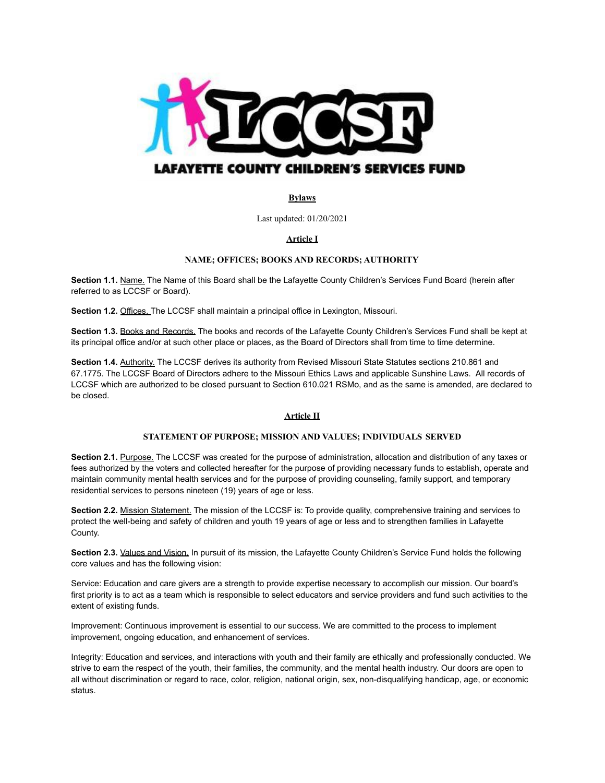

# **Bylaws**

Last updated: 01/20/2021

# **Article I**

## **NAME; OFFICES; BOOKS AND RECORDS; AUTHORITY**

**Section 1.1.** Name. The Name of this Board shall be the Lafayette County Children's Services Fund Board (herein after referred to as LCCSF or Board).

**Section 1.2.** Offices. The LCCSF shall maintain a principal office in Lexington, Missouri.

**Section 1.3.** Books and Records. The books and records of the Lafayette County Children's Services Fund shall be kept at its principal office and/or at such other place or places, as the Board of Directors shall from time to time determine.

**Section 1.4.** Authority. The LCCSF derives its authority from Revised Missouri State Statutes sections 210.861 and 67.1775. The LCCSF Board of Directors adhere to the Missouri Ethics Laws and applicable Sunshine Laws. All records of LCCSF which are authorized to be closed pursuant to Section 610.021 RSMo, and as the same is amended, are declared to be closed.

#### **Article II**

#### **STATEMENT OF PURPOSE; MISSION AND VALUES; INDIVIDUALS SERVED**

**Section 2.1.** Purpose. The LCCSF was created for the purpose of administration, allocation and distribution of any taxes or fees authorized by the voters and collected hereafter for the purpose of providing necessary funds to establish, operate and maintain community mental health services and for the purpose of providing counseling, family support, and temporary residential services to persons nineteen (19) years of age or less.

**Section 2.2.** Mission Statement. The mission of the LCCSF is: To provide quality, comprehensive training and services to protect the well-being and safety of children and youth 19 years of age or less and to strengthen families in Lafayette County.

**Section 2.3.** Values and Vision. In pursuit of its mission, the Lafayette County Children's Service Fund holds the following core values and has the following vision:

Service: Education and care givers are a strength to provide expertise necessary to accomplish our mission. Our board's first priority is to act as a team which is responsible to select educators and service providers and fund such activities to the extent of existing funds.

Improvement: Continuous improvement is essential to our success. We are committed to the process to implement improvement, ongoing education, and enhancement of services.

Integrity: Education and services, and interactions with youth and their family are ethically and professionally conducted. We strive to earn the respect of the youth, their families, the community, and the mental health industry. Our doors are open to all without discrimination or regard to race, color, religion, national origin, sex, non-disqualifying handicap, age, or economic status.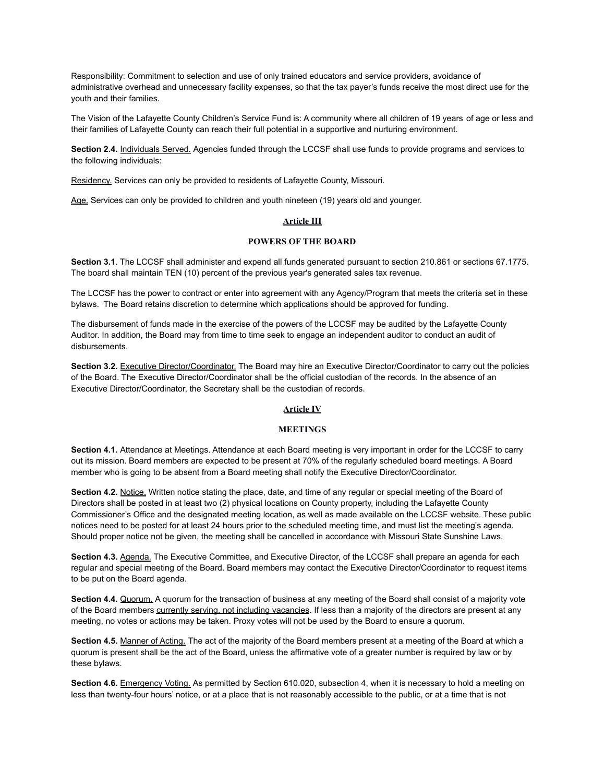Responsibility: Commitment to selection and use of only trained educators and service providers, avoidance of administrative overhead and unnecessary facility expenses, so that the tax payer's funds receive the most direct use for the youth and their families.

The Vision of the Lafayette County Children's Service Fund is: A community where all children of 19 years of age or less and their families of Lafayette County can reach their full potential in a supportive and nurturing environment.

**Section 2.4.** Individuals Served. Agencies funded through the LCCSF shall use funds to provide programs and services to the following individuals:

Residency. Services can only be provided to residents of Lafayette County, Missouri.

Age. Services can only be provided to children and youth nineteen (19) years old and younger.

## **Article III**

# **POWERS OF THE BOARD**

**Section 3.1**. The LCCSF shall administer and expend all funds generated pursuant to section 210.861 or sections 67.1775. The board shall maintain TEN (10) percent of the previous year's generated sales tax revenue.

The LCCSF has the power to contract or enter into agreement with any Agency/Program that meets the criteria set in these bylaws. The Board retains discretion to determine which applications should be approved for funding.

The disbursement of funds made in the exercise of the powers of the LCCSF may be audited by the Lafayette County Auditor. In addition, the Board may from time to time seek to engage an independent auditor to conduct an audit of disbursements.

**Section 3.2.** Executive Director/Coordinator. The Board may hire an Executive Director/Coordinator to carry out the policies of the Board. The Executive Director/Coordinator shall be the official custodian of the records. In the absence of an Executive Director/Coordinator, the Secretary shall be the custodian of records.

#### **Article IV**

## **MEETINGS**

**Section 4.1.** Attendance at Meetings. Attendance at each Board meeting is very important in order for the LCCSF to carry out its mission. Board members are expected to be present at 70% of the regularly scheduled board meetings. A Board member who is going to be absent from a Board meeting shall notify the Executive Director/Coordinator.

**Section 4.2.** Notice. Written notice stating the place, date, and time of any regular or special meeting of the Board of Directors shall be posted in at least two (2) physical locations on County property, including the Lafayette County Commissioner's Office and the designated meeting location, as well as made available on the LCCSF website. These public notices need to be posted for at least 24 hours prior to the scheduled meeting time, and must list the meeting's agenda. Should proper notice not be given, the meeting shall be cancelled in accordance with Missouri State Sunshine Laws.

**Section 4.3.** Agenda. The Executive Committee, and Executive Director, of the LCCSF shall prepare an agenda for each regular and special meeting of the Board. Board members may contact the Executive Director/Coordinator to request items to be put on the Board agenda.

**Section 4.4.** Quorum. A quorum for the transaction of business at any meeting of the Board shall consist of a majority vote of the Board members currently serving, not including vacancies. If less than a majority of the directors are present at any meeting, no votes or actions may be taken. Proxy votes will not be used by the Board to ensure a quorum.

**Section 4.5.** Manner of Acting. The act of the majority of the Board members present at a meeting of the Board at which a quorum is present shall be the act of the Board, unless the affirmative vote of a greater number is required by law or by these bylaws.

**Section 4.6.** Emergency Voting. As permitted by Section 610.020, subsection 4, when it is necessary to hold a meeting on less than twenty-four hours' notice, or at a place that is not reasonably accessible to the public, or at a time that is not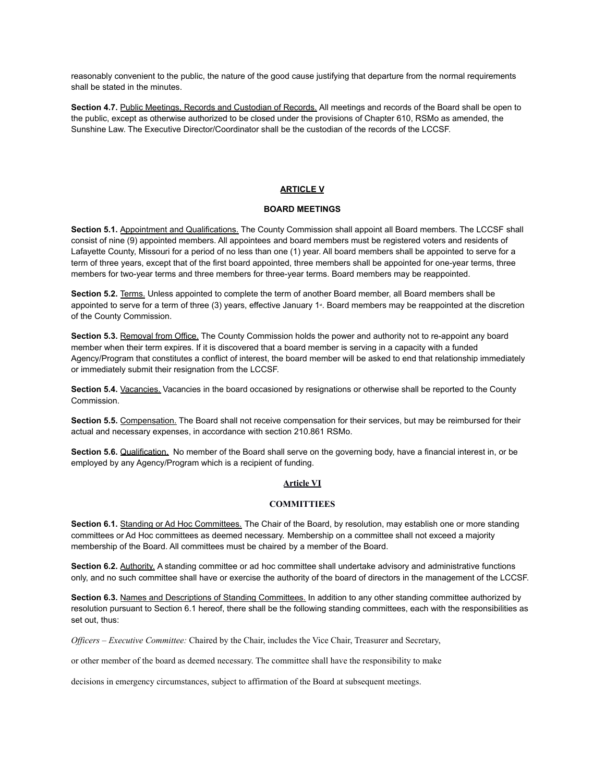reasonably convenient to the public, the nature of the good cause justifying that departure from the normal requirements shall be stated in the minutes.

**Section 4.7.** Public Meetings, Records and Custodian of Records. All meetings and records of the Board shall be open to the public, except as otherwise authorized to be closed under the provisions of Chapter 610, RSMo as amended, the Sunshine Law. The Executive Director/Coordinator shall be the custodian of the records of the LCCSF.

### **ARTICLE V**

#### **BOARD MEETINGS**

**Section 5.1.** Appointment and Qualifications. The County Commission shall appoint all Board members. The LCCSF shall consist of nine (9) appointed members. All appointees and board members must be registered voters and residents of Lafayette County, Missouri for a period of no less than one (1) year. All board members shall be appointed to serve for a term of three years, except that of the first board appointed, three members shall be appointed for one-year terms, three members for two-year terms and three members for three-year terms. Board members may be reappointed.

**Section 5.2.** Terms. Unless appointed to complete the term of another Board member, all Board members shall be appointed to serve for a term of three (3) years, effective January 1<sup>\*</sup>. Board members may be reappointed at the discretion of the County Commission.

**Section 5.3.** Removal from Office. The County Commission holds the power and authority not to re-appoint any board member when their term expires. If it is discovered that a board member is serving in a capacity with a funded Agency/Program that constitutes a conflict of interest, the board member will be asked to end that relationship immediately or immediately submit their resignation from the LCCSF.

**Section 5.4.** Vacancies. Vacancies in the board occasioned by resignations or otherwise shall be reported to the County Commission.

**Section 5.5.** Compensation. The Board shall not receive compensation for their services, but may be reimbursed for their actual and necessary expenses, in accordance with section 210.861 RSMo.

**Section 5.6.** Qualification. No member of the Board shall serve on the governing body, have a financial interest in, or be employed by any Agency/Program which is a recipient of funding.

#### **Article VI**

#### **COMMITTIEES**

**Section 6.1.** Standing or Ad Hoc Committees. The Chair of the Board, by resolution, may establish one or more standing committees or Ad Hoc committees as deemed necessary. Membership on a committee shall not exceed a majority membership of the Board. All committees must be chaired by a member of the Board.

**Section 6.2.** Authority, A standing committee or ad hoc committee shall undertake advisory and administrative functions only, and no such committee shall have or exercise the authority of the board of directors in the management of the LCCSF.

**Section 6.3.** Names and Descriptions of Standing Committees. In addition to any other standing committee authorized by resolution pursuant to Section 6.1 hereof, there shall be the following standing committees, each with the responsibilities as set out, thus:

*Officers – Executive Committee:* Chaired by the Chair, includes the Vice Chair, Treasurer and Secretary,

or other member of the board as deemed necessary. The committee shall have the responsibility to make

decisions in emergency circumstances, subject to affirmation of the Board at subsequent meetings.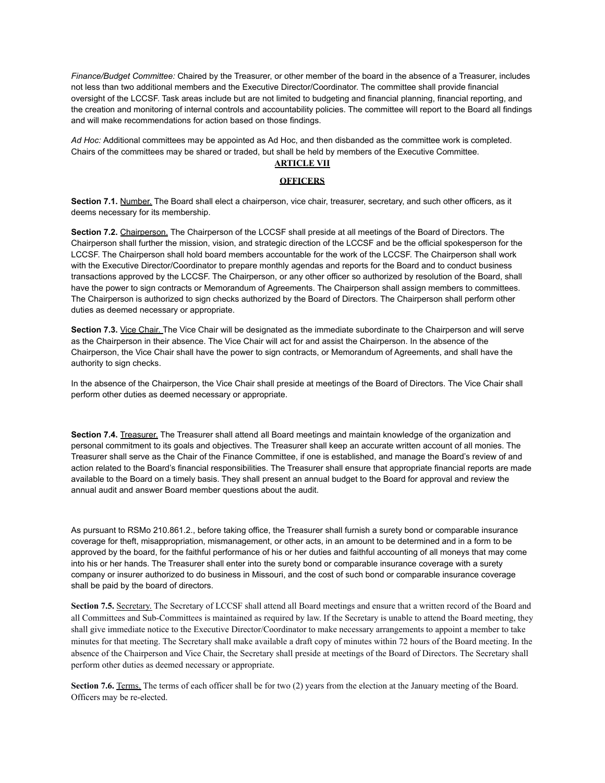*Finance/Budget Committee:* Chaired by the Treasurer, or other member of the board in the absence of a Treasurer, includes not less than two additional members and the Executive Director/Coordinator. The committee shall provide financial oversight of the LCCSF. Task areas include but are not limited to budgeting and financial planning, financial reporting, and the creation and monitoring of internal controls and accountability policies. The committee will report to the Board all findings and will make recommendations for action based on those findings.

*Ad Hoc:* Additional committees may be appointed as Ad Hoc, and then disbanded as the committee work is completed. Chairs of the committees may be shared or traded, but shall be held by members of the Executive Committee.

# **ARTICLE VII**

### **OFFICERS**

**Section 7.1.** Number. The Board shall elect a chairperson, vice chair, treasurer, secretary, and such other officers, as it deems necessary for its membership.

**Section 7.2.** Chairperson. The Chairperson of the LCCSF shall preside at all meetings of the Board of Directors. The Chairperson shall further the mission, vision, and strategic direction of the LCCSF and be the official spokesperson for the LCCSF. The Chairperson shall hold board members accountable for the work of the LCCSF. The Chairperson shall work with the Executive Director/Coordinator to prepare monthly agendas and reports for the Board and to conduct business transactions approved by the LCCSF. The Chairperson, or any other officer so authorized by resolution of the Board, shall have the power to sign contracts or Memorandum of Agreements. The Chairperson shall assign members to committees. The Chairperson is authorized to sign checks authorized by the Board of Directors. The Chairperson shall perform other duties as deemed necessary or appropriate.

**Section 7.3.** Vice Chair. The Vice Chair will be designated as the immediate subordinate to the Chairperson and will serve as the Chairperson in their absence. The Vice Chair will act for and assist the Chairperson. In the absence of the Chairperson, the Vice Chair shall have the power to sign contracts, or Memorandum of Agreements, and shall have the authority to sign checks.

In the absence of the Chairperson, the Vice Chair shall preside at meetings of the Board of Directors. The Vice Chair shall perform other duties as deemed necessary or appropriate.

**Section 7.4.** Treasurer. The Treasurer shall attend all Board meetings and maintain knowledge of the organization and personal commitment to its goals and objectives. The Treasurer shall keep an accurate written account of all monies. The Treasurer shall serve as the Chair of the Finance Committee, if one is established, and manage the Board's review of and action related to the Board's financial responsibilities. The Treasurer shall ensure that appropriate financial reports are made available to the Board on a timely basis. They shall present an annual budget to the Board for approval and review the annual audit and answer Board member questions about the audit.

As pursuant to RSMo 210.861.2., before taking office, the Treasurer shall furnish a surety bond or comparable insurance coverage for theft, misappropriation, mismanagement, or other acts, in an amount to be determined and in a form to be approved by the board, for the faithful performance of his or her duties and faithful accounting of all moneys that may come into his or her hands. The Treasurer shall enter into the surety bond or comparable insurance coverage with a surety company or insurer authorized to do business in Missouri, and the cost of such bond or comparable insurance coverage shall be paid by the board of directors.

**Section 7.5.** Secretary. The Secretary of LCCSF shall attend all Board meetings and ensure that a written record of the Board and all Committees and Sub-Committees is maintained as required by law. If the Secretary is unable to attend the Board meeting, they shall give immediate notice to the Executive Director/Coordinator to make necessary arrangements to appoint a member to take minutes for that meeting. The Secretary shall make available a draft copy of minutes within 72 hours of the Board meeting. In the absence of the Chairperson and Vice Chair, the Secretary shall preside at meetings of the Board of Directors. The Secretary shall perform other duties as deemed necessary or appropriate.

**Section 7.6.** Terms. The terms of each officer shall be for two (2) years from the election at the January meeting of the Board. Officers may be re-elected.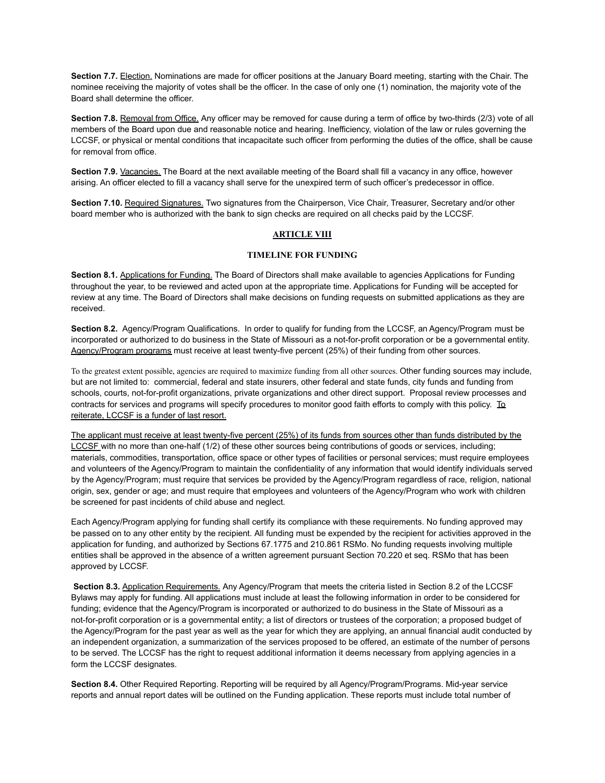**Section 7.7.** Election. Nominations are made for officer positions at the January Board meeting, starting with the Chair. The nominee receiving the majority of votes shall be the officer. In the case of only one (1) nomination, the majority vote of the Board shall determine the officer.

**Section 7.8.** Removal from Office. Any officer may be removed for cause during a term of office by two-thirds (2/3) vote of all members of the Board upon due and reasonable notice and hearing. Inefficiency, violation of the law or rules governing the LCCSF, or physical or mental conditions that incapacitate such officer from performing the duties of the office, shall be cause for removal from office.

**Section 7.9.** Vacancies. The Board at the next available meeting of the Board shall fill a vacancy in any office, however arising. An officer elected to fill a vacancy shall serve for the unexpired term of such officer's predecessor in office.

**Section 7.10.** Required Signatures. Two signatures from the Chairperson, Vice Chair, Treasurer, Secretary and/or other board member who is authorized with the bank to sign checks are required on all checks paid by the LCCSF.

## **ARTICLE VIII**

# **TIMELINE FOR FUNDING**

**Section 8.1.** Applications for Funding. The Board of Directors shall make available to agencies Applications for Funding throughout the year, to be reviewed and acted upon at the appropriate time. Applications for Funding will be accepted for review at any time. The Board of Directors shall make decisions on funding requests on submitted applications as they are received.

**Section 8.2.** Agency/Program Qualifications. In order to qualify for funding from the LCCSF, an Agency/Program must be incorporated or authorized to do business in the State of Missouri as a not-for-profit corporation or be a governmental entity. Agency/Program programs must receive at least twenty-five percent (25%) of their funding from other sources.

To the greatest extent possible, agencies are required to maximize funding from all other sources. Other funding sources may include, but are not limited to: commercial, federal and state insurers, other federal and state funds, city funds and funding from schools, courts, not-for-profit organizations, private organizations and other direct support. Proposal review processes and contracts for services and programs will specify procedures to monitor good faith efforts to comply with this policy. To reiterate, LCCSF is a funder of last resort.

The applicant must receive at least twenty-five percent (25%) of its funds from sources other than funds distributed by the LCCSF with no more than one-half (1/2) of these other sources being contributions of goods or services, including; materials, commodities, transportation, office space or other types of facilities or personal services; must require employees and volunteers of the Agency/Program to maintain the confidentiality of any information that would identify individuals served by the Agency/Program; must require that services be provided by the Agency/Program regardless of race, religion, national origin, sex, gender or age; and must require that employees and volunteers of the Agency/Program who work with children be screened for past incidents of child abuse and neglect.

Each Agency/Program applying for funding shall certify its compliance with these requirements. No funding approved may be passed on to any other entity by the recipient. All funding must be expended by the recipient for activities approved in the application for funding, and authorized by Sections 67.1775 and 210.861 RSMo. No funding requests involving multiple entities shall be approved in the absence of a written agreement pursuant Section 70.220 et seq. RSMo that has been approved by LCCSF.

**Section 8.3.** Application Requirements. Any Agency/Program that meets the criteria listed in Section 8.2 of the LCCSF Bylaws may apply for funding. All applications must include at least the following information in order to be considered for funding; evidence that the Agency/Program is incorporated or authorized to do business in the State of Missouri as a not-for-profit corporation or is a governmental entity; a list of directors or trustees of the corporation; a proposed budget of the Agency/Program for the past year as well as the year for which they are applying, an annual financial audit conducted by an independent organization, a summarization of the services proposed to be offered, an estimate of the number of persons to be served. The LCCSF has the right to request additional information it deems necessary from applying agencies in a form the LCCSF designates.

**Section 8.4.** Other Required Reporting. Reporting will be required by all Agency/Program/Programs. Mid-year service reports and annual report dates will be outlined on the Funding application. These reports must include total number of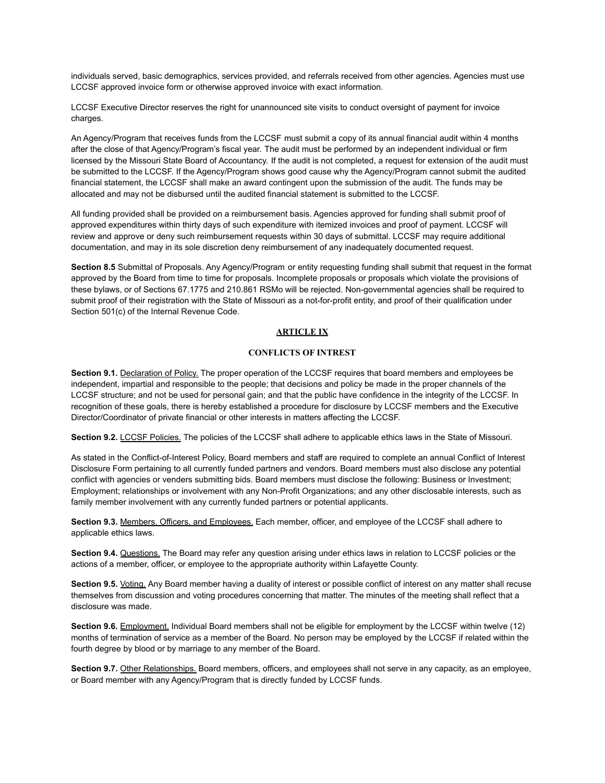individuals served, basic demographics, services provided, and referrals received from other agencies. Agencies must use LCCSF approved invoice form or otherwise approved invoice with exact information.

LCCSF Executive Director reserves the right for unannounced site visits to conduct oversight of payment for invoice charges.

An Agency/Program that receives funds from the LCCSF must submit a copy of its annual financial audit within 4 months after the close of that Agency/Program's fiscal year. The audit must be performed by an independent individual or firm licensed by the Missouri State Board of Accountancy. If the audit is not completed, a request for extension of the audit must be submitted to the LCCSF. If the Agency/Program shows good cause why the Agency/Program cannot submit the audited financial statement, the LCCSF shall make an award contingent upon the submission of the audit. The funds may be allocated and may not be disbursed until the audited financial statement is submitted to the LCCSF.

All funding provided shall be provided on a reimbursement basis. Agencies approved for funding shall submit proof of approved expenditures within thirty days of such expenditure with itemized invoices and proof of payment. LCCSF will review and approve or deny such reimbursement requests within 30 days of submittal. LCCSF may require additional documentation, and may in its sole discretion deny reimbursement of any inadequately documented request.

**Section 8.5** Submittal of Proposals. Any Agency/Program or entity requesting funding shall submit that request in the format approved by the Board from time to time for proposals. Incomplete proposals or proposals which violate the provisions of these bylaws, or of Sections 67.1775 and 210.861 RSMo will be rejected. Non-governmental agencies shall be required to submit proof of their registration with the State of Missouri as a not-for-profit entity, and proof of their qualification under Section 501(c) of the Internal Revenue Code.

# **ARTICLE IX**

### **CONFLICTS OF INTREST**

**Section 9.1.** Declaration of Policy. The proper operation of the LCCSF requires that board members and employees be independent, impartial and responsible to the people; that decisions and policy be made in the proper channels of the LCCSF structure; and not be used for personal gain; and that the public have confidence in the integrity of the LCCSF. In recognition of these goals, there is hereby established a procedure for disclosure by LCCSF members and the Executive Director/Coordinator of private financial or other interests in matters affecting the LCCSF.

**Section 9.2.** LCCSF Policies. The policies of the LCCSF shall adhere to applicable ethics laws in the State of Missouri.

As stated in the Conflict-of-Interest Policy, Board members and staff are required to complete an annual Conflict of Interest Disclosure Form pertaining to all currently funded partners and vendors. Board members must also disclose any potential conflict with agencies or venders submitting bids. Board members must disclose the following: Business or Investment; Employment; relationships or involvement with any Non-Profit Organizations; and any other disclosable interests, such as family member involvement with any currently funded partners or potential applicants.

**Section 9.3.** Members, Officers, and Employees. Each member, officer, and employee of the LCCSF shall adhere to applicable ethics laws.

**Section 9.4.** Questions. The Board may refer any question arising under ethics laws in relation to LCCSF policies or the actions of a member, officer, or employee to the appropriate authority within Lafayette County.

**Section 9.5.** Voting, Any Board member having a duality of interest or possible conflict of interest on any matter shall recuse themselves from discussion and voting procedures concerning that matter. The minutes of the meeting shall reflect that a disclosure was made.

**Section 9.6.** Employment. Individual Board members shall not be eligible for employment by the LCCSF within twelve (12) months of termination of service as a member of the Board. No person may be employed by the LCCSF if related within the fourth degree by blood or by marriage to any member of the Board.

**Section 9.7.** Other Relationships. Board members, officers, and employees shall not serve in any capacity, as an employee, or Board member with any Agency/Program that is directly funded by LCCSF funds.